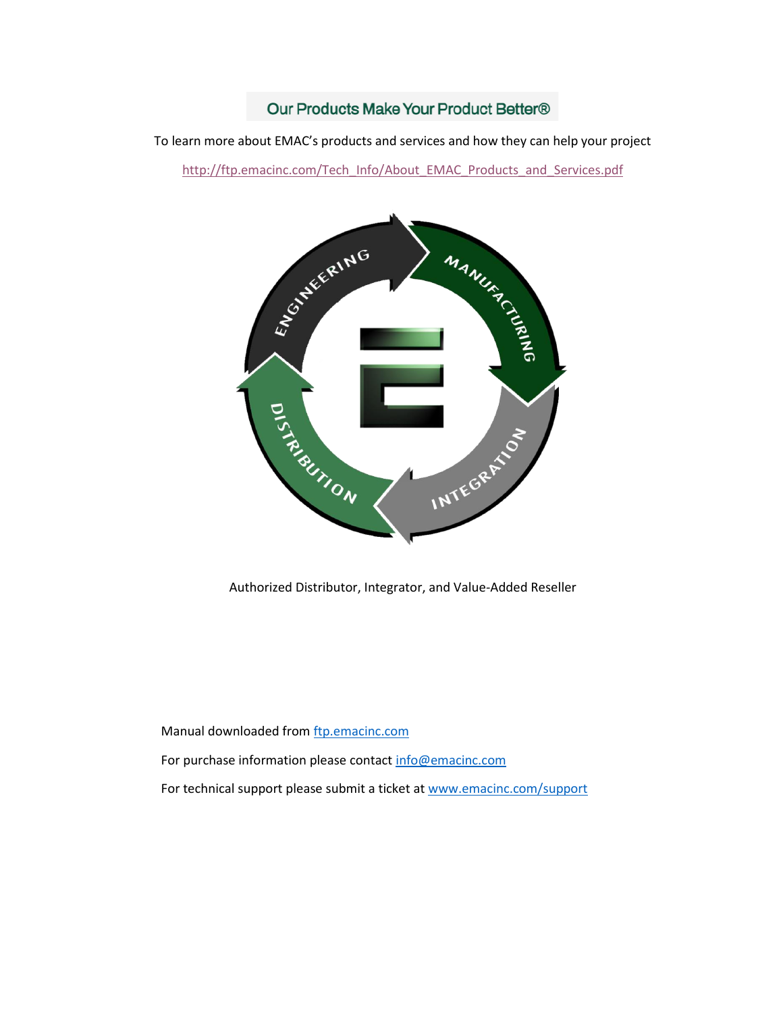# Our Products Make Your Product Better®

To learn more about EMAC's products and services and how they can help your project

[http://ftp.emacinc.com/Tech\\_Info/About\\_EMAC\\_Products\\_and\\_Services.pdf](http://ftp.emacinc.com/Tech_Info/About_EMAC_Products_and_Services.pdf)



Authorized Distributor, Integrator, and Value-Added Reseller

Manual downloaded from **ftp.emacinc.com** 

For purchase information please contac[t info@emacinc.com](mailto:info@emacinc.com)

For technical support please submit a ticket at [www.emacinc.com/support](http://www.emacinc.com/support)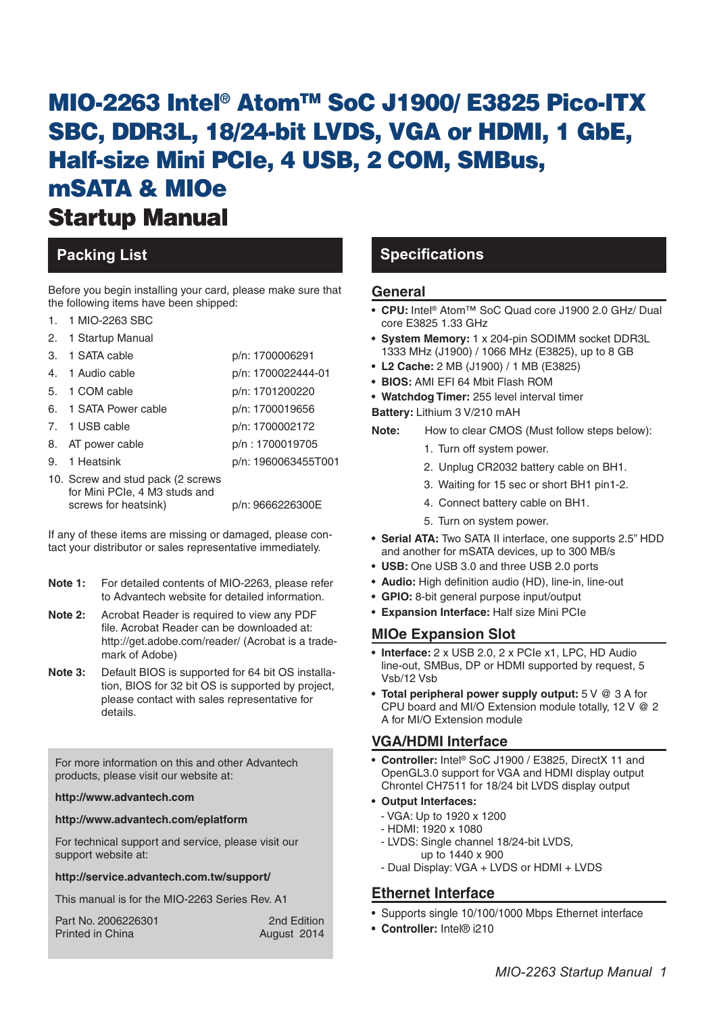# MIO-2263 Intel® AtomTM SoC J1900/ E3825 Pico-ITX SBC, DDR3L, 18/24-bit LVDS, VGA or HDMI, 1 GbE, Half-size Mini PCIe, 4 USB, 2 COM, SMBus, mSATA & MIOe Startup Manual

Before you begin installing your card, please make sure that the following items have been shipped:

- 1. 1 MIO-2263 SBC
- 2. 1 Startup Manual

|                | 3. 1 SATA cable                                                                            | p/n: 1700006291     |
|----------------|--------------------------------------------------------------------------------------------|---------------------|
| $\overline{4}$ | 1 Audio cable                                                                              | p/n: 1700022444-01  |
|                | 5. 1 COM cable                                                                             | p/n: 1701200220     |
|                | 6. 1 SATA Power cable                                                                      | p/n: 1700019656     |
|                | 7. 1 USB cable                                                                             | p/n: 1700002172     |
|                | 8. AT power cable                                                                          | p/n: 1700019705     |
|                | 9. 1 Heatsink                                                                              | p/n: 1960063455T001 |
|                | 10. Screw and stud pack (2 screws<br>for Mini PCIe, 4 M3 studs and<br>screws for heatsink) | p/n: 9666226300E    |

If any of these items are missing or damaged, please contact your distributor or sales representative immediately.

- **Note 1:** For detailed contents of MIO-2263, please refer to Advantech website for detailed information.
- **Note 2:** Acrobat Reader is required to view any PDF file. Acrobat Reader can be downloaded at: http://get.adobe.com/reader/ (Acrobat is a trademark of Adobe)
- **Note 3:** Default BIOS is supported for 64 bit OS installation, BIOS for 32 bit OS is supported by project, please contact with sales representative for details.

For more information on this and other Advantech products, please visit our website at:

#### **http://www.advantech.com**

#### **http://www.advantech.com/eplatform**

For technical support and service, please visit our support website at:

#### **http://service.advantech.com.tw/support/**

This manual is for the MIO-2263 Series Rev. A1

| Part No. 2006226301     | 2nd Edition |
|-------------------------|-------------|
| <b>Printed in China</b> | August 2014 |

# **Packing List Specifications**

#### **General**

- **• CPU:** Intel® Atom™ SoC Quad core J1900 2.0 GHz/ Dual core E3825 1.33 GHz
- **• System Memory:** 1 x 204-pin SODIMM socket DDR3L 1333 MHz (J1900) / 1066 MHz (E3825), up to 8 GB
- **• L2 Cache:** 2 MB (J1900) / 1 MB (E3825)
- **• BIOS:** AMI EFI 64 Mbit Flash ROM
- **• Watchdog Timer:** 255 level interval timer
- **Battery:** Lithium 3 V/210 mAH
- **Note:** How to clear CMOS (Must follow steps below):
	- 1. Turn off system power.
	- 2. Unplug CR2032 battery cable on BH1.
	- 3. Waiting for 15 sec or short BH1 pin1-2.
	- 4. Connect battery cable on BH1.
	- 5. Turn on system power.
- **• Serial ATA:** Two SATA II interface, one supports 2.5" HDD and another for mSATA devices, up to 300 MB/s
- **• USB:** One USB 3.0 and three USB 2.0 ports
- **• Audio:** High definition audio (HD), line-in, line-out
- **• GPIO:** 8-bit general purpose input/output
- **• Expansion Interface:** Half size Mini PCIe

#### **MIOe Expansion Slot**

- **• Interface:** 2 x USB 2.0, 2 x PCIe x1, LPC, HD Audio line-out, SMBus, DP or HDMI supported by request, 5 Vsb/12 Vsb
- **• Total peripheral power supply output:** 5 V @ 3 A for CPU board and MI/O Extension module totally, 12 V @ 2 A for MI/O Extension module

#### **VGA/HDMI Interface**

- **• Controller:** Intel® SoC J1900 / E3825, DirectX 11 and OpenGL3.0 support for VGA and HDMI display output Chrontel CH7511 for 18/24 bit LVDS display output
- **• Output Interfaces:** 
	- VGA: Up to 1920 x 1200
	- HDMI: 1920 x 1080
	- LVDS: Single channel 18/24-bit LVDS, up to 1440 x 900
	- Dual Display: VGA + LVDS or HDMI + LVDS

## **Ethernet Interface**

- Supports single 10/100/1000 Mbps Ethernet interface
- **• Controller:** Intel® i210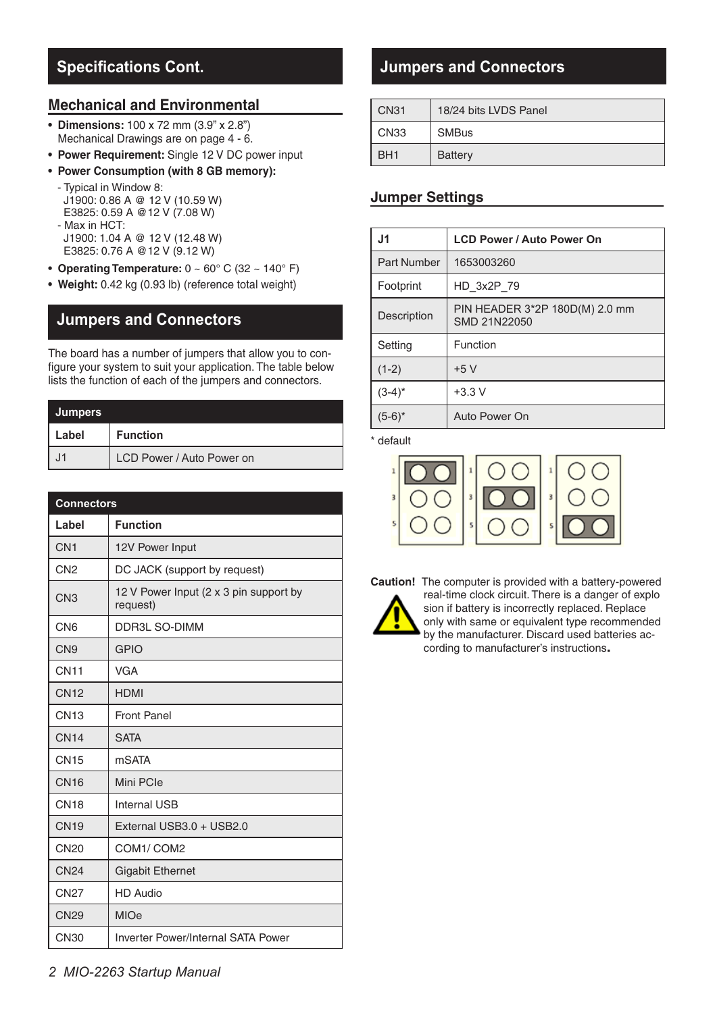# **Specifications Cont.**

## **Mechanical and Environmental**

- **• Dimensions:** 100 x 72 mm (3.9" x 2.8") Mechanical Drawings are on page 4 - 6.
- **• Power Requirement:** Single 12 V DC power input
- **• Power Consumption (with 8 GB memory):** 
	- Typical in Window 8: J1900: 0.86 A @ 12 V (10.59 W) E3825: 0.59 A @12 V (7.08 W) - Max in HCT: J1900: 1.04 A @ 12 V (12.48 W) E3825: 0.76 A @12 V (9.12 W)
- **• Operating Temperature:** 0 ~ 60° C (32 ~ 140° F)
- **• Weight:** 0.42 kg (0.93 lb) (reference total weight)

# **Jumpers and Connectors**

The board has a number of jumpers that allow you to configure your system to suit your application. The table below lists the function of each of the jumpers and connectors.

| Jumpers |                           |  |  |  |
|---------|---------------------------|--|--|--|
| Label   | <b>Function</b>           |  |  |  |
| .11     | LCD Power / Auto Power on |  |  |  |

| <b>Connectors</b> |                                                    |  |  |  |
|-------------------|----------------------------------------------------|--|--|--|
| Label             | <b>Function</b>                                    |  |  |  |
| CN <sub>1</sub>   | 12V Power Input                                    |  |  |  |
| CN <sub>2</sub>   | DC JACK (support by request)                       |  |  |  |
| CN <sub>3</sub>   | 12 V Power Input (2 x 3 pin support by<br>request) |  |  |  |
| CN <sub>6</sub>   | <b>DDR3L SO-DIMM</b>                               |  |  |  |
| CN <sub>9</sub>   | <b>GPIO</b>                                        |  |  |  |
| <b>CN11</b>       | <b>VGA</b>                                         |  |  |  |
| <b>CN12</b>       | <b>HDMI</b>                                        |  |  |  |
| <b>CN13</b>       | <b>Front Panel</b>                                 |  |  |  |
| <b>CN14</b>       | <b>SATA</b>                                        |  |  |  |
| <b>CN15</b>       | <b>mSATA</b>                                       |  |  |  |
| <b>CN16</b>       | Mini PCIe                                          |  |  |  |
| <b>CN18</b>       | <b>Internal USB</b>                                |  |  |  |
| <b>CN19</b>       | External USB3.0 + USB2.0                           |  |  |  |
| <b>CN20</b>       | COM1/COM2                                          |  |  |  |
| <b>CN24</b>       | <b>Gigabit Ethernet</b>                            |  |  |  |
| <b>CN27</b>       | <b>HD Audio</b>                                    |  |  |  |
| <b>CN29</b>       | <b>MIOe</b>                                        |  |  |  |
| CN30              | Inverter Power/Internal SATA Power                 |  |  |  |

# **Jumpers and Connectors**

| <b>CN31</b>     | 18/24 bits LVDS Panel |
|-----------------|-----------------------|
| CN33            | <b>SMBus</b>          |
| BH <sub>1</sub> | Battery               |

### **Jumper Settings**

| J1          | <b>LCD Power / Auto Power On</b>               |  |
|-------------|------------------------------------------------|--|
| Part Number | 1653003260                                     |  |
| Footprint   | HD 3x2P 79                                     |  |
| Description | PIN HEADER 3*2P 180D(M) 2.0 mm<br>SMD 21N22050 |  |
| Setting     | Function                                       |  |
| $(1-2)$     | $+5V$                                          |  |
| $(3-4)^*$   | $+3.3 V$                                       |  |
| $(5-6)^*$   | Auto Power On                                  |  |

\* default



**Caution!** The computer is provided with a battery-powered real-time clock circuit. There is a danger of explo sion if battery is incorrectly replaced. Replace only with same or equivalent type recommended by the manufacturer. Discard used batteries according to manufacturer's instructions**.**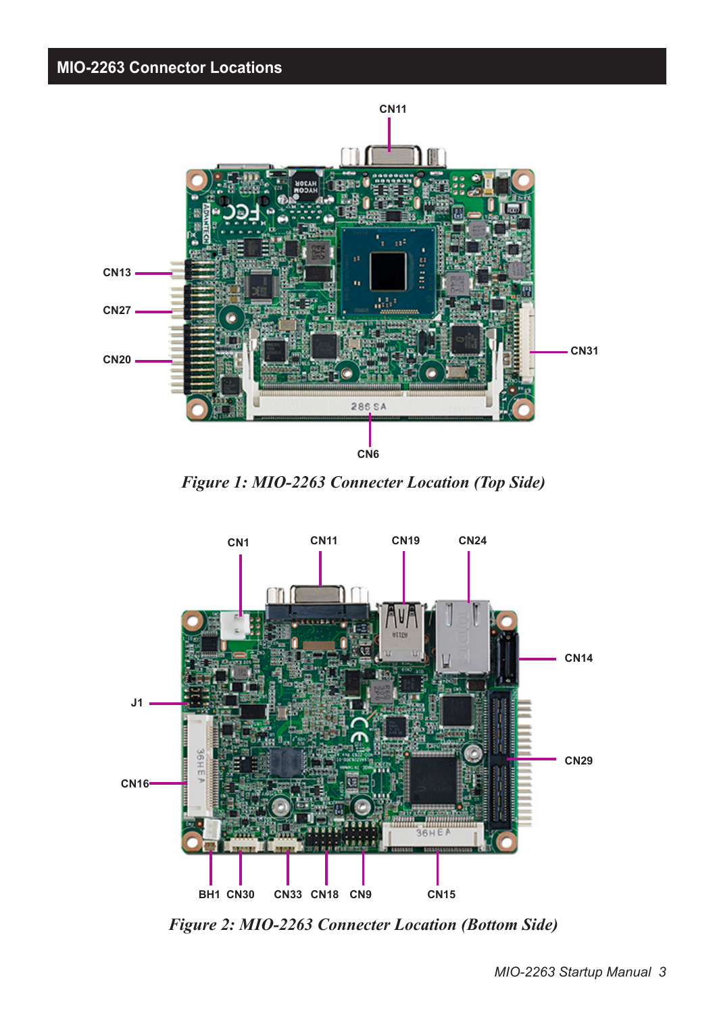



*Figure 1: MIO-2263 Connecter Location (Top Side)*



*Figure 2: MIO-2263 Connecter Location (Bottom Side)*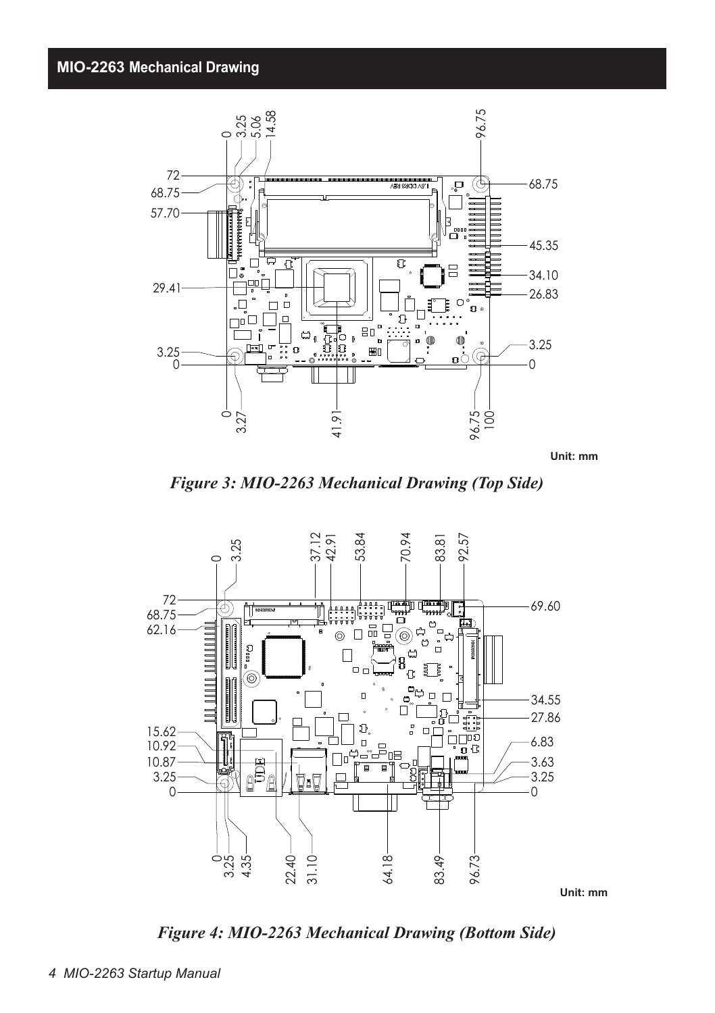

**Unit: mm**

*Figure 3: MIO-2263 Mechanical Drawing (Top Side)*



*Figure 4: MIO-2263 Mechanical Drawing (Bottom Side)*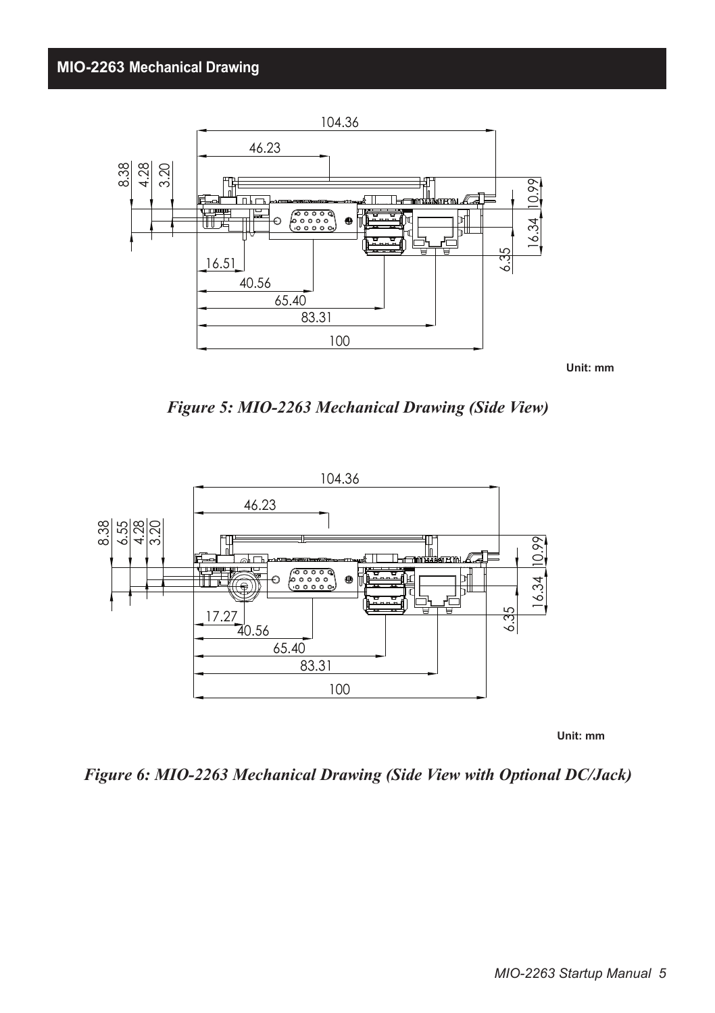

*Figure 5: MIO-2263 Mechanical Drawing (Side View)*



 **Unit: mm**

*Figure 6: MIO-2263 Mechanical Drawing (Side View with Optional DC/Jack)*